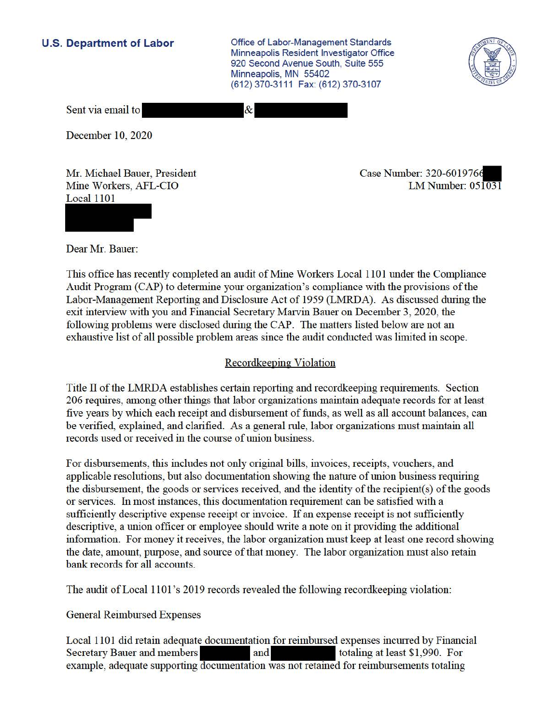**U.S. Department of Labor Conservative Conservative Conservative Conservative Conservative Conservative Conservative Conservative Conservative Conservative Conservative Conservative Conservative Conservative Conservative** Minneapolis Resident Investigator Office 920 Second Avenue South, Suite 555 Minneapolis, MN 55402 (612) 370-3111 Fax: (612) 370-3107



Sent via email to

December 10, 2020

Mr. Michael Bauer, President Mine Workers, AFL-CIO Local 1101

Case Number: 320-6019766 LM Number: 051031

Dear Mr. Bauer:

This office has recently completed an audit of Mine Workers Local 1101 under the Compliance Audit Program (CAP) to determine your organization's compliance with the provisions of the Labor-Management Reporting and Disclosure Act of 1959 (LMRDA). As discussed during the exit interview with you and Financial Secretary Marvin Bauer on December 3, 2020, the following problems were disclosed during the CAP. The matters listed below are not an exhaustive list of all possible problem areas since the audit conducted was limited in scope.

 $\&$ 

## Recordkeeping Violation

Title II of the LMRDA establishes certain reporting and recordkeeping requirements. Section 206 requires, among other things that labor organizations maintain adequate records for at least five years by which each receipt and disbursement of funds, as well as all account balances, can be verified, explained, and clarified. As a general rule, labor organizations must maintain all records used or received in the course of union business.

For disbursements, this includes not only original bills, invoices, receipts, vouchers, and applicable resolutions, but also documentation showing the nature of union business requiring the disbursement, the goods or services received, and the identity of the recipient(s) of the goods or services. In most instances, this documentation requirement can be satisfied with a sufficiently descriptive expense receipt or invoice. If an expense receipt is not sufficiently descriptive, a union officer or employee should write a note on it providing the additional information. For money it receives, the labor organization must keep at least one record showing the date, amount, purpose, and source of that money. The labor organization must also retain bank records for all accounts.

The audit of Local 1101 's 2019 records revealed the following recordkeeping violation:

General Reimbursed Expenses

Local 1101 did retain adequate documentation for reimbursed expenses incurred by Financial Secretary Bauer and members<br>and totaling at least \$1,990. For example, adequate supporting documentation was not retained for reimbursements totaling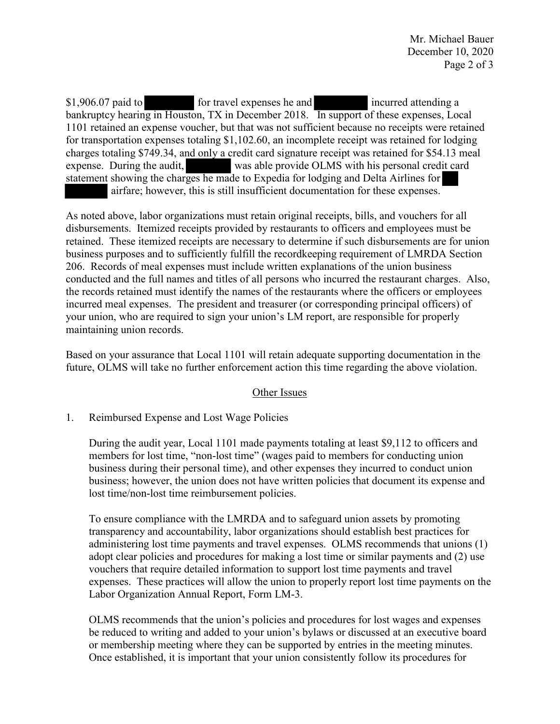\$1,906.07 paid to charges totaling \$749.34, and only a credit card signature receipt was retained for \$54.13 meal for travel expenses he and incurred attending a bankruptcy hearing in Houston, TX in December 2018. In support of these expenses, Local 1101 retained an expense voucher, but that was not sufficient because no receipts were retained for transportation expenses totaling \$[1,102.60,](https://1,102.60) an incomplete receipt was retained for lodging expense. During the audit, was able provide OLMS with his personal credit card statement showing the charges he made to Expedia for lodging and Delta Airlines for airfare; however, this is still insufficient documentation for these expenses.

 business purposes and to sufficiently fulfill the recordkeeping requirement of LMRDA Section As noted above, labor organizations must retain original receipts, bills, and vouchers for all disbursements. Itemized receipts provided by restaurants to officers and employees must be retained. These itemized receipts are necessary to determine if such disbursements are for union 206. Records of meal expenses must include written explanations of the union business conducted and the full names and titles of all persons who incurred the restaurant charges. Also, the records retained must identify the names of the restaurants where the officers or employees incurred meal expenses. The president and treasurer (or corresponding principal officers) of your union, who are required to sign your union's LM report, are responsible for properly maintaining union records.

 Based on your assurance that Local 1101 will retain adequate supporting documentation in the future, OLMS will take no further enforcement action this time regarding the above violation.

## Other Issues

## 1. Reimbursed Expense and Lost Wage Policies

 business; however, the union does not have written policies that document its expense and During the audit year, Local 1101 made payments totaling at least \$9,112 to officers and members for lost time, "non-lost time" (wages paid to members for conducting union business during their personal time), and other expenses they incurred to conduct union lost time/non-lost time reimbursement policies.

 To ensure compliance with the LMRDA and to safeguard union assets by promoting transparency and accountability, labor organizations should establish best practices for Labor Organization Annual Report, Form LM-3. administering lost time payments and travel expenses. OLMS recommends that unions (1) adopt clear policies and procedures for making a lost time or similar payments and (2) use vouchers that require detailed information to support lost time payments and travel expenses. These practices will allow the union to properly report lost time payments on the

 Once established, it is important that your union consistently follow its procedures for OLMS recommends that the union's policies and procedures for lost wages and expenses be reduced to writing and added to your union's bylaws or discussed at an executive board or membership meeting where they can be supported by entries in the meeting minutes.